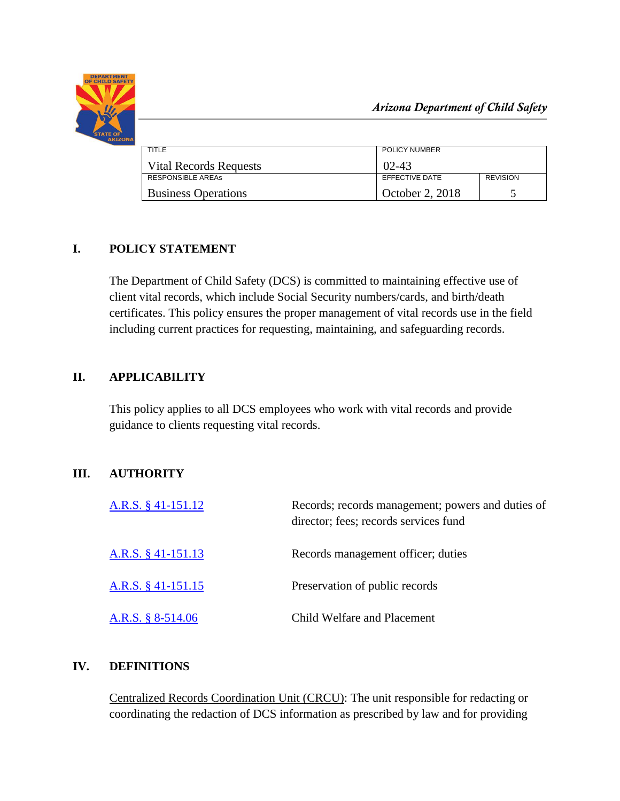

| TITLE                         | POLICY NUMBER   |                 |  |
|-------------------------------|-----------------|-----------------|--|
| <b>Vital Records Requests</b> | $02 - 43$       |                 |  |
| <b>RESPONSIBLE AREAS</b>      | EFFECTIVE DATE  | <b>REVISION</b> |  |
| <b>Business Operations</b>    | October 2, 2018 |                 |  |

# **I. POLICY STATEMENT**

The Department of Child Safety (DCS) is committed to maintaining effective use of client vital records, which include Social Security numbers/cards, and birth/death certificates. This policy ensures the proper management of vital records use in the field including current practices for requesting, maintaining, and safeguarding records.

# **II. APPLICABILITY**

This policy applies to all DCS employees who work with vital records and provide guidance to clients requesting vital records.

## **III. AUTHORITY**

| A.R.S. $§$ 41-151.12 | Records; records management; powers and duties of<br>director; fees; records services fund |  |  |
|----------------------|--------------------------------------------------------------------------------------------|--|--|
| A.R.S. § 41-151.13   | Records management officer; duties                                                         |  |  |
| A.R.S. $§$ 41-151.15 | Preservation of public records                                                             |  |  |
| A.R.S. § 8-514.06    | Child Welfare and Placement                                                                |  |  |

## **IV. DEFINITIONS**

Centralized Records Coordination Unit (CRCU): The unit responsible for redacting or coordinating the redaction of DCS information as prescribed by law and for providing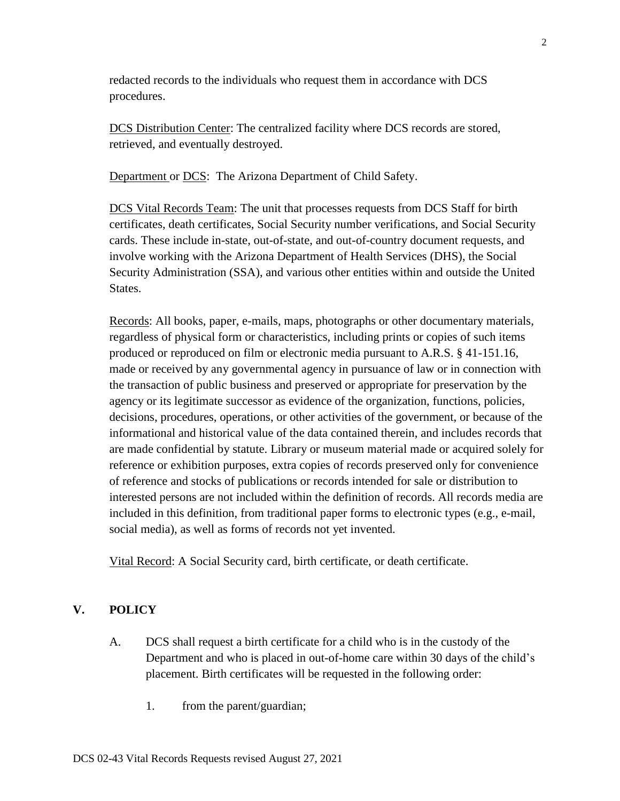redacted records to the individuals who request them in accordance with DCS procedures.

DCS Distribution Center: The centralized facility where DCS records are stored, retrieved, and eventually destroyed.

Department or DCS: The Arizona Department of Child Safety.

DCS Vital Records Team: The unit that processes requests from DCS Staff for birth certificates, death certificates, Social Security number verifications, and Social Security cards. These include in-state, out-of-state, and out-of-country document requests, and involve working with the Arizona Department of Health Services (DHS), the Social Security Administration (SSA), and various other entities within and outside the United States.

Records: All books, paper, e-mails, maps, photographs or other documentary materials, regardless of physical form or characteristics, including prints or copies of such items produced or reproduced on film or electronic media pursuant to A.R.S. § 41-151.16, made or received by any governmental agency in pursuance of law or in connection with the transaction of public business and preserved or appropriate for preservation by the agency or its legitimate successor as evidence of the organization, functions, policies, decisions, procedures, operations, or other activities of the government, or because of the informational and historical value of the data contained therein, and includes records that are made confidential by statute. Library or museum material made or acquired solely for reference or exhibition purposes, extra copies of records preserved only for convenience of reference and stocks of publications or records intended for sale or distribution to interested persons are not included within the definition of records. All records media are included in this definition, from traditional paper forms to electronic types (e.g., e-mail, social media), as well as forms of records not yet invented.

Vital Record: A Social Security card, birth certificate, or death certificate.

#### **V. POLICY**

- A. DCS shall request a birth certificate for a child who is in the custody of the Department and who is placed in out-of-home care within 30 days of the child's placement. Birth certificates will be requested in the following order:
	- 1. from the parent/guardian;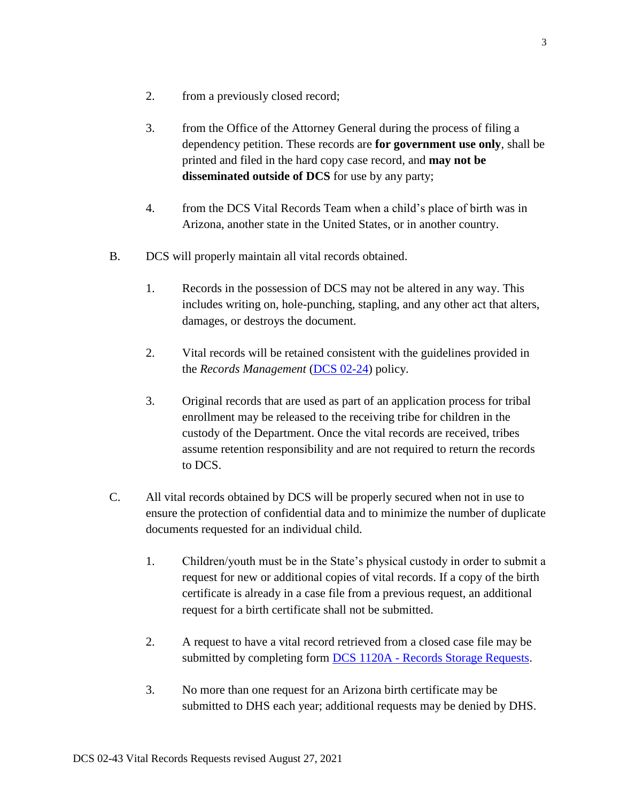- 2. from a previously closed record;
- 3. from the Office of the Attorney General during the process of filing a dependency petition. These records are **for government use only**, shall be printed and filed in the hard copy case record, and **may not be disseminated outside of DCS** for use by any party;
- 4. from the DCS Vital Records Team when a child's place of birth was in Arizona, another state in the United States, or in another country.
- B. DCS will properly maintain all vital records obtained.
	- 1. Records in the possession of DCS may not be altered in any way. This includes writing on, hole-punching, stapling, and any other act that alters, damages, or destroys the document.
	- 2. Vital records will be retained consistent with the guidelines provided in the *Records Management* [\(DCS 02-24\)](https://extranet.azdcs.gov/DCSPolicy/Content/Adminstrative%20Policy/DCS%2002/DCS%2002-24%20Records%20Management.pdf) policy.
	- 3. Original records that are used as part of an application process for tribal enrollment may be released to the receiving tribe for children in the custody of the Department. Once the vital records are received, tribes assume retention responsibility and are not required to return the records to DCS.
- C. All vital records obtained by DCS will be properly secured when not in use to ensure the protection of confidential data and to minimize the number of duplicate documents requested for an individual child.
	- 1. Children/youth must be in the State's physical custody in order to submit a request for new or additional copies of vital records. If a copy of the birth certificate is already in a case file from a previous request, an additional request for a birth certificate shall not be submitted.
	- 2. A request to have a vital record retrieved from a closed case file may be submitted by completing form DCS 1120A - [Records Storage Requests.](https://azdcs.sharepoint.com/:w:/r/PJH62QDM/NHR43KAC/_layouts/15/Doc.aspx?sourcedoc=%7B9B8175F0-1F02-4E89-8789-7B76A164CA0F%7D&file=DCS-1120A.docx&action=default&mobileredirect=true&DefaultItemOpen=1)
	- 3. No more than one request for an Arizona birth certificate may be submitted to DHS each year; additional requests may be denied by DHS.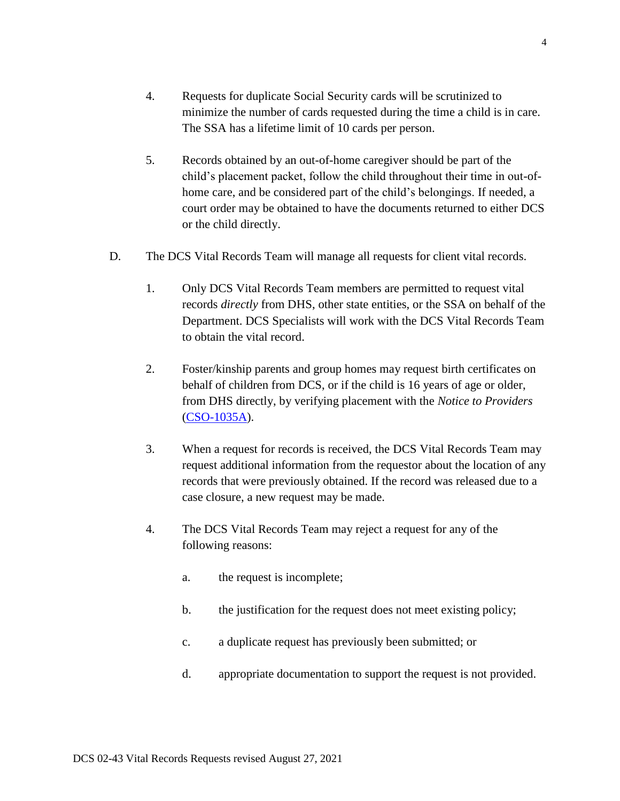- 4. Requests for duplicate Social Security cards will be scrutinized to minimize the number of cards requested during the time a child is in care. The SSA has a lifetime limit of 10 cards per person.
- 5. Records obtained by an out-of-home caregiver should be part of the child's placement packet, follow the child throughout their time in out-ofhome care, and be considered part of the child's belongings. If needed, a court order may be obtained to have the documents returned to either DCS or the child directly.
- D. The DCS Vital Records Team will manage all requests for client vital records.
	- 1. Only DCS Vital Records Team members are permitted to request vital records *directly* from DHS, other state entities, or the SSA on behalf of the Department. DCS Specialists will work with the DCS Vital Records Team to obtain the vital record.
	- 2. Foster/kinship parents and group homes may request birth certificates on behalf of children from DCS, or if the child is 16 years of age or older, from DHS directly, by verifying placement with the *Notice to Providers* [\(CSO-1035A\)](https://azdcs.sharepoint.com/PJH62QDM/NHR43KAC/DCS%20Digital/CSO-1035A.pdf).
	- 3. When a request for records is received, the DCS Vital Records Team may request additional information from the requestor about the location of any records that were previously obtained. If the record was released due to a case closure, a new request may be made.
	- 4. The DCS Vital Records Team may reject a request for any of the following reasons:
		- a. the request is incomplete;
		- b. the justification for the request does not meet existing policy;
		- c. a duplicate request has previously been submitted; or
		- d. appropriate documentation to support the request is not provided.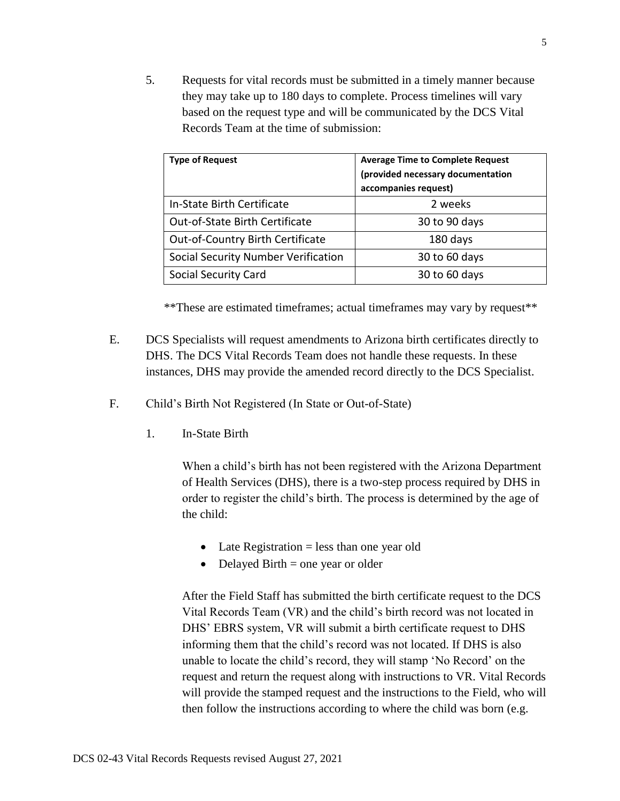5. Requests for vital records must be submitted in a timely manner because they may take up to 180 days to complete. Process timelines will vary based on the request type and will be communicated by the DCS Vital Records Team at the time of submission:

| <b>Type of Request</b>              | <b>Average Time to Complete Request</b><br>(provided necessary documentation<br>accompanies request) |  |
|-------------------------------------|------------------------------------------------------------------------------------------------------|--|
| In-State Birth Certificate          | 2 weeks                                                                                              |  |
| Out-of-State Birth Certificate      | 30 to 90 days                                                                                        |  |
| Out-of-Country Birth Certificate    | 180 days                                                                                             |  |
| Social Security Number Verification | 30 to 60 days                                                                                        |  |
| Social Security Card                | 30 to 60 days                                                                                        |  |

\*\*These are estimated timeframes; actual timeframes may vary by request\*\*

- E. DCS Specialists will request amendments to Arizona birth certificates directly to DHS. The DCS Vital Records Team does not handle these requests. In these instances, DHS may provide the amended record directly to the DCS Specialist.
- F. Child's Birth Not Registered (In State or Out-of-State)
	- 1. In-State Birth

When a child's birth has not been registered with the Arizona Department of Health Services (DHS), there is a two-step process required by DHS in order to register the child's birth. The process is determined by the age of the child:

- $\bullet$  Late Registration = less than one year old
- $\bullet$  Delayed Birth = one year or older

After the Field Staff has submitted the birth certificate request to the DCS Vital Records Team (VR) and the child's birth record was not located in DHS' EBRS system, VR will submit a birth certificate request to DHS informing them that the child's record was not located. If DHS is also unable to locate the child's record, they will stamp 'No Record' on the request and return the request along with instructions to VR. Vital Records will provide the stamped request and the instructions to the Field, who will then follow the instructions according to where the child was born (e.g.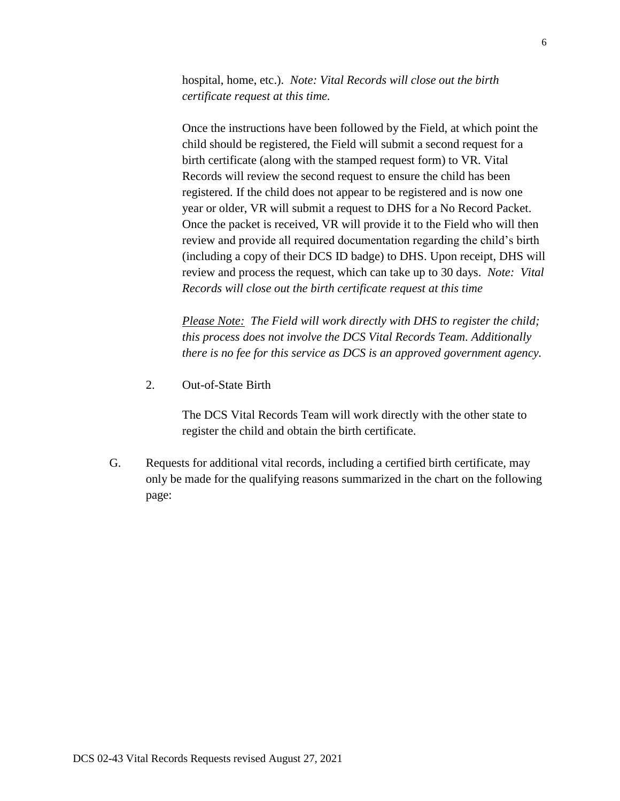hospital, home, etc.). *Note: Vital Records will close out the birth certificate request at this time.*

Once the instructions have been followed by the Field, at which point the child should be registered, the Field will submit a second request for a birth certificate (along with the stamped request form) to VR. Vital Records will review the second request to ensure the child has been registered. If the child does not appear to be registered and is now one year or older, VR will submit a request to DHS for a No Record Packet. Once the packet is received, VR will provide it to the Field who will then review and provide all required documentation regarding the child's birth (including a copy of their DCS ID badge) to DHS. Upon receipt, DHS will review and process the request, which can take up to 30 days. *Note: Vital Records will close out the birth certificate request at this time*

*Please Note: The Field will work directly with DHS to register the child; this process does not involve the DCS Vital Records Team. Additionally there is no fee for this service as DCS is an approved government agency.*

2. Out-of-State Birth

The DCS Vital Records Team will work directly with the other state to register the child and obtain the birth certificate.

G. Requests for additional vital records, including a certified birth certificate, may only be made for the qualifying reasons summarized in the chart on the following page: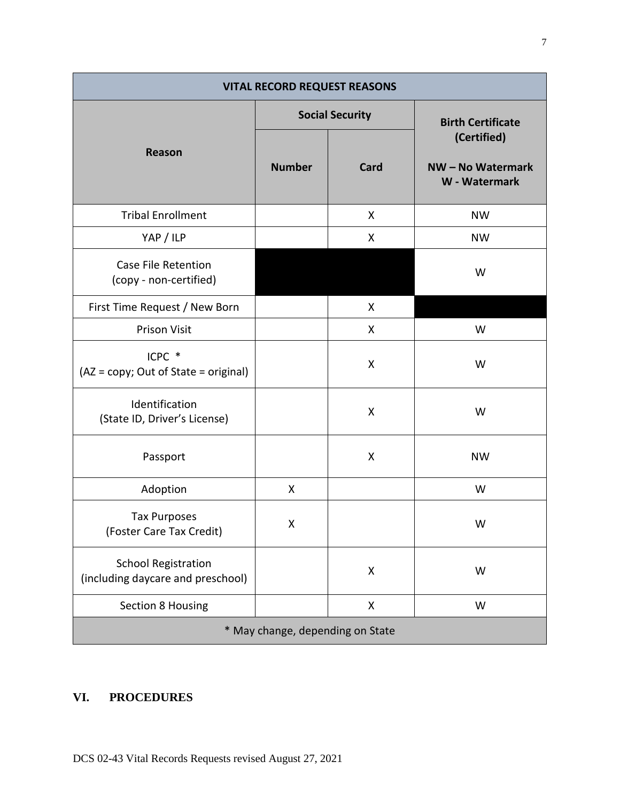| <b>VITAL RECORD REQUEST REASONS</b>                             |                        |      |                                                 |  |  |
|-----------------------------------------------------------------|------------------------|------|-------------------------------------------------|--|--|
|                                                                 | <b>Social Security</b> |      | <b>Birth Certificate</b>                        |  |  |
| <b>Reason</b>                                                   | <b>Number</b>          | Card | (Certified)<br>NW-No Watermark<br>W - Watermark |  |  |
| <b>Tribal Enrollment</b>                                        |                        | X    | <b>NW</b>                                       |  |  |
| YAP / ILP                                                       |                        | X    | <b>NW</b>                                       |  |  |
| <b>Case File Retention</b><br>(copy - non-certified)            |                        |      | W                                               |  |  |
| First Time Request / New Born                                   |                        | X    |                                                 |  |  |
| <b>Prison Visit</b>                                             |                        | X    | W                                               |  |  |
| ICPC *<br>(AZ = copy; Out of State = original)                  |                        | Χ    | W                                               |  |  |
| Identification<br>(State ID, Driver's License)                  |                        | X    | W                                               |  |  |
| Passport                                                        |                        | X    | <b>NW</b>                                       |  |  |
| Adoption                                                        | X                      |      | W                                               |  |  |
| <b>Tax Purposes</b><br>(Foster Care Tax Credit)                 | Χ                      |      | W                                               |  |  |
| <b>School Registration</b><br>(including daycare and preschool) |                        | X    | W                                               |  |  |
| Section 8 Housing                                               |                        | X    | W                                               |  |  |
| * May change, depending on State                                |                        |      |                                                 |  |  |

# **VI. PROCEDURES**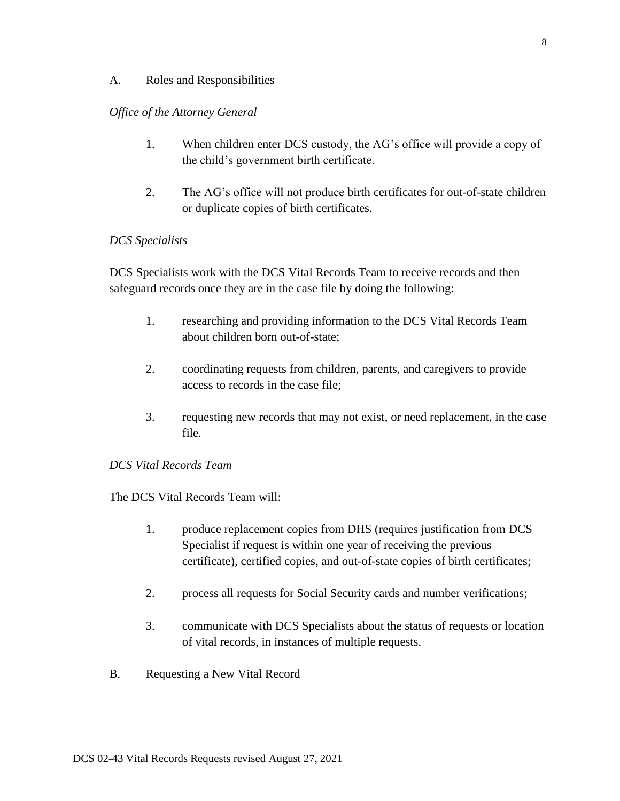#### A. Roles and Responsibilities

### *Office of the Attorney General*

- 1. When children enter DCS custody, the AG's office will provide a copy of the child's government birth certificate.
- 2. The AG's office will not produce birth certificates for out-of-state children or duplicate copies of birth certificates.

### *DCS Specialists*

DCS Specialists work with the DCS Vital Records Team to receive records and then safeguard records once they are in the case file by doing the following:

- 1. researching and providing information to the DCS Vital Records Team about children born out-of-state;
- 2. coordinating requests from children, parents, and caregivers to provide access to records in the case file;
- 3. requesting new records that may not exist, or need replacement, in the case file.

#### *DCS Vital Records Team*

The DCS Vital Records Team will:

- 1. produce replacement copies from DHS (requires justification from DCS Specialist if request is within one year of receiving the previous certificate), certified copies, and out-of-state copies of birth certificates;
- 2. process all requests for Social Security cards and number verifications;
- 3. communicate with DCS Specialists about the status of requests or location of vital records, in instances of multiple requests.
- B. Requesting a New Vital Record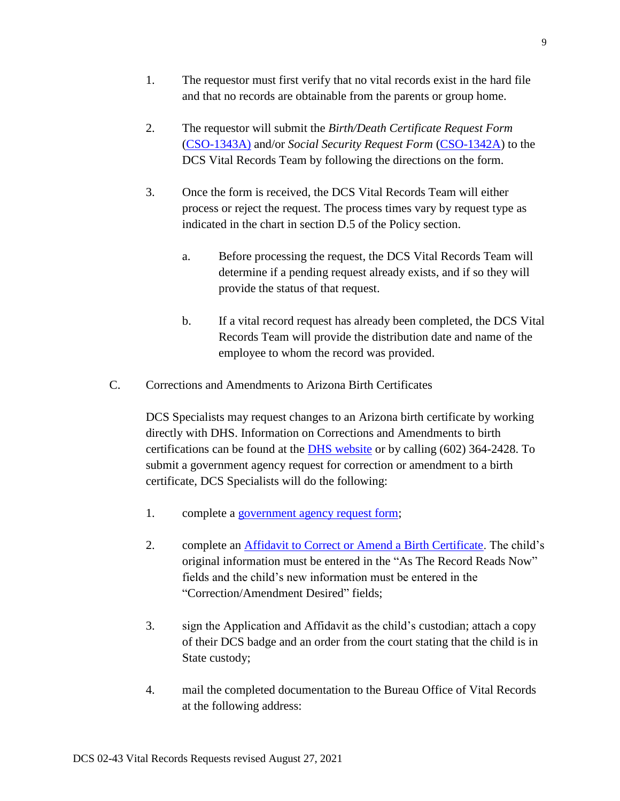- 1. The requestor must first verify that no vital records exist in the hard file and that no records are obtainable from the parents or group home.
- 2. The requestor will submit the *Birth/Death Certificate Request Form* [\(CSO-1343A\)](https://azdcs.sharepoint.com/PJH62QDM/NHR43KAC/DCS%20Digital/CSO-1343A.pdf) and/or *Social Security Request Form* [\(CSO-1342A\)](https://azdcs.sharepoint.com/PJH62QDM/NHR43KAC/_layouts/15/WopiFrame.aspx?sourcedoc=%7BC0487CF2-CC69-46D6-901C-152E54F2D871%7D&file=CSO-1342A.docx&action=default&DefaultItemOpen=1) to the DCS Vital Records Team by following the directions on the form.
- 3. Once the form is received, the DCS Vital Records Team will either process or reject the request. The process times vary by request type as indicated in the chart in section D.5 of the Policy section.
	- a. Before processing the request, the DCS Vital Records Team will determine if a pending request already exists, and if so they will provide the status of that request.
	- b. If a vital record request has already been completed, the DCS Vital Records Team will provide the distribution date and name of the employee to whom the record was provided.
- C. Corrections and Amendments to Arizona Birth Certificates

DCS Specialists may request changes to an Arizona birth certificate by working directly with DHS. Information on Corrections and Amendments to birth certifications can be found at the [DHS website](http://azdhs.gov/licensing/vital-records/index.php#corrections-amendments-home) or by calling (602) 364-2428. To submit a government agency request for correction or amendment to a birth certificate, DCS Specialists will do the following:

- 1. complete a [government agency request form;](http://azdhs.gov/documents/licensing/vital-records/government-request-form-non-state.pdf)
- 2. complete an [Affidavit to Correct or Amend a Birth Certificate.](http://azdhs.gov/documents/licensing/vital-records/correction-affidavit-correct-amend-birth.pdf) The child's original information must be entered in the "As The Record Reads Now" fields and the child's new information must be entered in the "Correction/Amendment Desired" fields;
- 3. sign the Application and Affidavit as the child's custodian; attach a copy of their DCS badge and an order from the court stating that the child is in State custody;
- 4. mail the completed documentation to the Bureau Office of Vital Records at the following address: